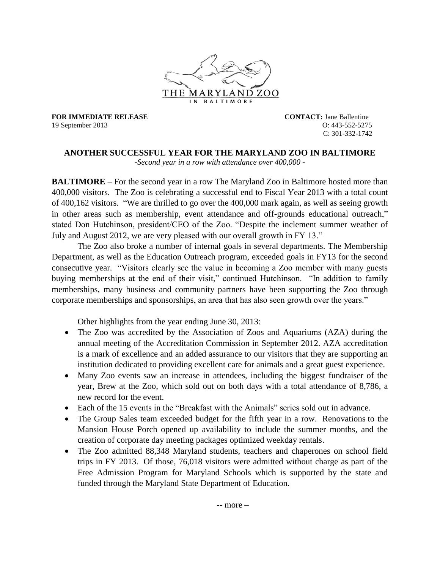

**FOR IMMEDIATE RELEASE CONTACT:** Jane Ballentine 19 September 2013 O: 443-552-5275

C: 301-332-1742

## **ANOTHER SUCCESSFUL YEAR FOR THE MARYLAND ZOO IN BALTIMORE**

*-Second year in a row with attendance over 400,000 -*

**BALTIMORE** – For the second year in a row The Maryland Zoo in Baltimore hosted more than 400,000 visitors. The Zoo is celebrating a successful end to Fiscal Year 2013 with a total count of 400,162 visitors. "We are thrilled to go over the 400,000 mark again, as well as seeing growth in other areas such as membership, event attendance and off-grounds educational outreach," stated Don Hutchinson, president/CEO of the Zoo. "Despite the inclement summer weather of July and August 2012, we are very pleased with our overall growth in FY 13."

The Zoo also broke a number of internal goals in several departments. The Membership Department, as well as the Education Outreach program, exceeded goals in FY13 for the second consecutive year. "Visitors clearly see the value in becoming a Zoo member with many guests buying memberships at the end of their visit," continued Hutchinson. "In addition to family memberships, many business and community partners have been supporting the Zoo through corporate memberships and sponsorships, an area that has also seen growth over the years."

Other highlights from the year ending June 30, 2013:

- The Zoo was accredited by the Association of Zoos and Aquariums (AZA) during the annual meeting of the Accreditation Commission in September 2012. AZA accreditation is a mark of excellence and an added assurance to our visitors that they are supporting an institution dedicated to providing excellent care for animals and a great guest experience.
- Many Zoo events saw an increase in attendees, including the biggest fundraiser of the year, Brew at the Zoo, which sold out on both days with a total attendance of 8,786, a new record for the event.
- Each of the 15 events in the "Breakfast with the Animals" series sold out in advance.
- The Group Sales team exceeded budget for the fifth year in a row. Renovations to the Mansion House Porch opened up availability to include the summer months, and the creation of corporate day meeting packages optimized weekday rentals.
- The Zoo admitted 88,348 Maryland students, teachers and chaperones on school field trips in FY 2013. Of those, 76,018 visitors were admitted without charge as part of the Free Admission Program for Maryland Schools which is supported by the state and funded through the Maryland State Department of Education.